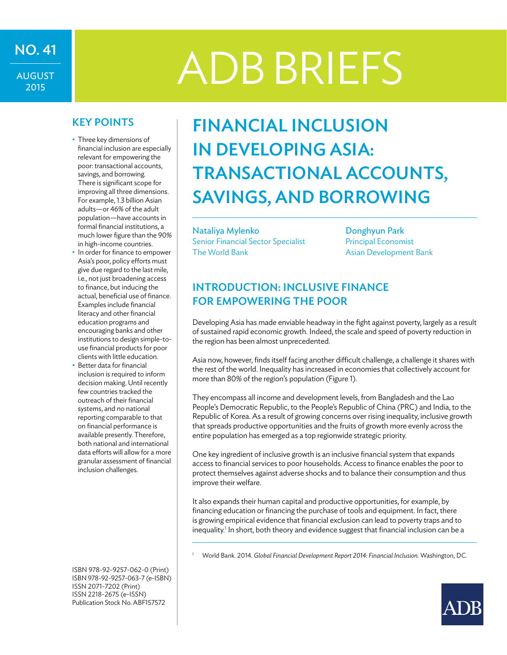# NO. 41<br>ADB BRIEFS

AUGUST 2015

- Three key dimensions of financial inclusion are especially relevant for empowering the poor: transactional accounts, savings, and borrowing. There is significant scope for improving all three dimensions. For example, 1.3 billion Asian adults—or 46% of the adult population—have accounts in formal financial institutions, a much lower figure than the 90% in high-income countries.
- In order for finance to empower Asia's poor, policy efforts must give due regard to the last mile, i.e., not just broadening access to finance, but inducing the actual, beneficial use of finance. Examples include financial literacy and other financial education programs and encouraging banks and other institutions to design simple-touse financial products for poor clients with little education.
- Better data for financial inclusion is required to inform decision making. Until recently few countries tracked the outreach of their financial systems, and no national reporting comparable to that on financial performance is available presently. Therefore, both national and international data efforts will allow for a more granular assessment of financial inclusion challenges.

ISBN 978-92-9257-062-0 (Print) ISBN 978-92-9257-063-7 (e-ISBN) ISSN 2071-7202 (Print) ISSN 2218-2675 (e-ISSN) Publication Stock No. ABF157572

## KEY POINTS FINANCIAL INCLUSION in Developing Asia: Transactional Accounts, Savings, and Borrowing

Nataliya Mylenko Senior Financial Sector Specialist The World Bank

Donghyun Park Principal Economist Asian Development Bank

#### Introduction: Inclusive Finance for Empowering the Poor

Developing Asia has made enviable headway in the fight against poverty, largely as a result of sustained rapid economic growth. Indeed, the scale and speed of poverty reduction in the region has been almost unprecedented.

Asia now, however, finds itself facing another difficult challenge, a challenge it shares with the rest of the world. Inequality has increased in economies that collectively account for more than 80% of the region's population (Figure 1).

They encompass all income and development levels, from Bangladesh and the Lao People's Democratic Republic, to the People's Republic of China (PRC) and India, to the Republic of Korea. As a result of growing concerns over rising inequality, inclusive growth that spreads productive opportunities and the fruits of growth more evenly across the entire population has emerged as a top regionwide strategic priority.

One key ingredient of inclusive growth is an inclusive financial system that expands access to financial services to poor households. Access to finance enables the poor to protect themselves against adverse shocks and to balance their consumption and thus improve their welfare.

It also expands their human capital and productive opportunities, for example, by financing education or financing the purchase of tools and equipment. In fact, there is growing empirical evidence that financial exclusion can lead to poverty traps and to inequality.<sup>1</sup> In short, both theory and evidence suggest that financial inclusion can be a

<sup>1</sup> World Bank. 2014. Global Financial Development Report 2014: Financial Inclusion. Washington, DC.

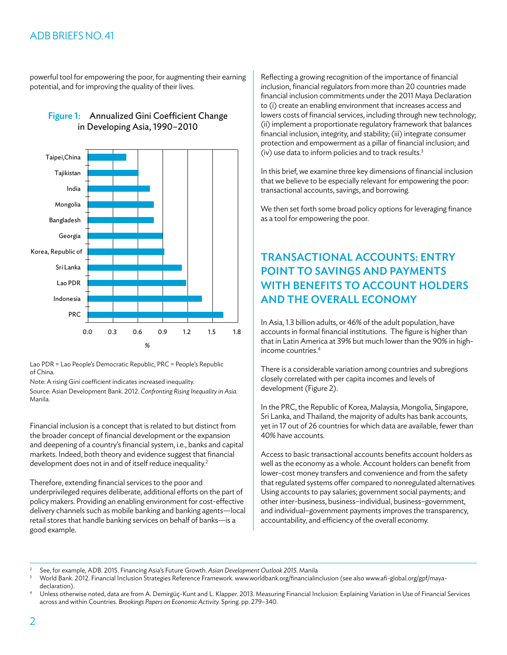#### ADB BRIEFS NO. 41

powerful tool for empowering the poor, for augmenting their earning potential, and for improving the quality of their lives.





Lao PDR = Lao People's Democratic Republic, PRC = People's Republic of China.

Note: A rising Gini coefficient indicates increased inequality.

Source: Asian Development Bank. 2012. *Confronting Rising Inequality in Asia*. Manila.

Financial inclusion is a concept that is related to but distinct from the broader concept of financial development or the expansion and deepening of a country's financial system, i.e., banks and capital markets. Indeed, both theory and evidence suggest that financial development does not in and of itself reduce inequality.<sup>2</sup>

Therefore, extending financial services to the poor and underprivileged requires deliberate, additional efforts on the part of policy makers. Providing an enabling environment for cost-effective delivery channels such as mobile banking and banking agents—local retail stores that handle banking services on behalf of banks—is a good example.

Reflecting a growing recognition of the importance of financial inclusion, financial regulators from more than 20 countries made financial inclusion commitments under the 2011 Maya Declaration to (i) create an enabling environment that increases access and lowers costs of financial services, including through new technology; (ii) implement a proportionate regulatory framework that balances financial inclusion, integrity, and stability; (iii) integrate consumer protection and empowerment as a pillar of financial inclusion; and (iv) use data to inform policies and to track results.3

In this brief, we examine three key dimensions of financial inclusion that we believe to be especially relevant for empowering the poor: transactional accounts, savings, and borrowing.

We then set forth some broad policy options for leveraging finance as a tool for empowering the poor.

#### Transactional Accounts: Entry Point to Savings and Payments with Benefits to Account Holders and the Overall Economy

In Asia, 1.3 billion adults, or 46% of the adult population, have accounts in formal financial institutions. The figure is higher than that in Latin America at 39% but much lower than the 90% in highincome countries<sup>4</sup>

There is a considerable variation among countries and subregions closely correlated with per capita incomes and levels of development (Figure 2).

In the PRC, the Republic of Korea, Malaysia, Mongolia, Singapore, Sri Lanka, and Thailand, the majority of adults has bank accounts, yet in 17 out of 26 countries for which data are available, fewer than 40% have accounts.

Access to basic transactional accounts benefits account holders as well as the economy as a whole. Account holders can benefit from lower-cost money transfers and convenience and from the safety that regulated systems offer compared to nonregulated alternatives. Using accounts to pay salaries; government social payments; and other inter-business, business–individual, business–government, and individual–government payments improves the transparency, accountability, and efficiency of the overall economy.

<sup>2</sup> See, for example, ADB. 2015. Financing Asia's Future Growth. *Asian Development Outlook 2015.* Manila

<sup>3</sup> World Bank. 2012. Financial Inclusion Strategies Reference Framework. www.worldbank.org/financialinclusion (see also www.afi-global.org/gpf/maya-

declaration).<br>Unless otherwise noted, data are from A. Demirgüç-Kunt and L. Klapper. 2013. Measuring Financial Inclusion: Explaining Variation in Use of Financial Services across and within Countries. *Brookings Papers on Economic Activity.* Spring. pp. 279–340.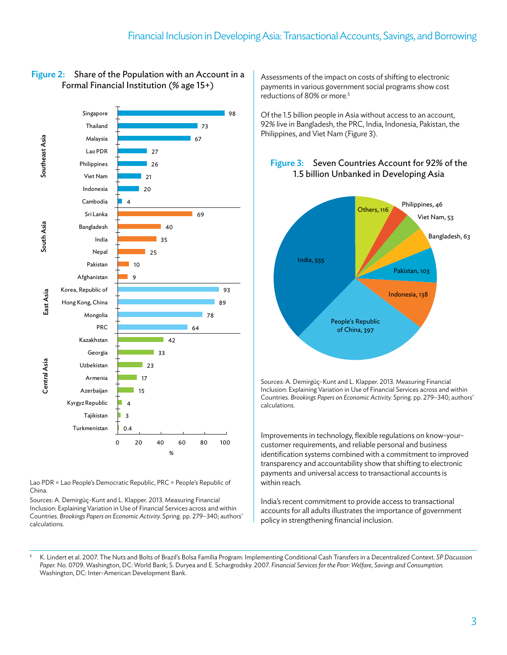

#### Figure 2: Share of the Population with an Account in a Formal Financial Institution (% age 15+)

Lao PDR = Lao People's Democratic Republic, PRC = People's Republic of China.

Sources: A. Demirgüç-Kunt and L. Klapper. 2013. Measuring Financial Inclusion: Explaining Variation in Use of Financial Services across and within Countries. *Brookings Papers on Economic Activity.* Spring. pp. 279–340; authors' calculations.

Assessments of the impact on costs of shifting to electronic payments in various government social programs show cost reductions of 80% or more.<sup>5</sup>

Of the 1.5 billion people in Asia without access to an account, 92% live in Bangladesh, the PRC, India, Indonesia, Pakistan, the Philippines, and Viet Nam (Figure 3).

#### Figure 3: Seven Countries Account for 92% of the 1.5 billion Unbanked in Developing Asia



Sources: A. Demirgüç-Kunt and L. Klapper. 2013. Measuring Financial Inclusion: Explaining Variation in Use of Financial Services across and within Countries. *Brookings Papers on Economic Activity.* Spring. pp. 279–340; authors' calculations.

Improvements in technology, flexible regulations on know-yourcustomer requirements, and reliable personal and business identification systems combined with a commitment to improved transparency and accountability show that shifting to electronic payments and universal access to transactional accounts is within reach.

India's recent commitment to provide access to transactional accounts for all adults illustrates the importance of government policy in strengthening financial inclusion.

<sup>5</sup> K. Lindert et al. 2007. The Nuts and Bolts of Brazil's Bolsa Família Program: Implementing Conditional Cash Transfers in a Decentralized Context. *SP Discussion Paper.* No. 0709. Washington, DC: World Bank; S. Duryea and E. Schargrodsky. 2007. *Financial Services for the Poor: Welfare, Savings and Consumption.*  Washington, DC: Inter-American Development Bank.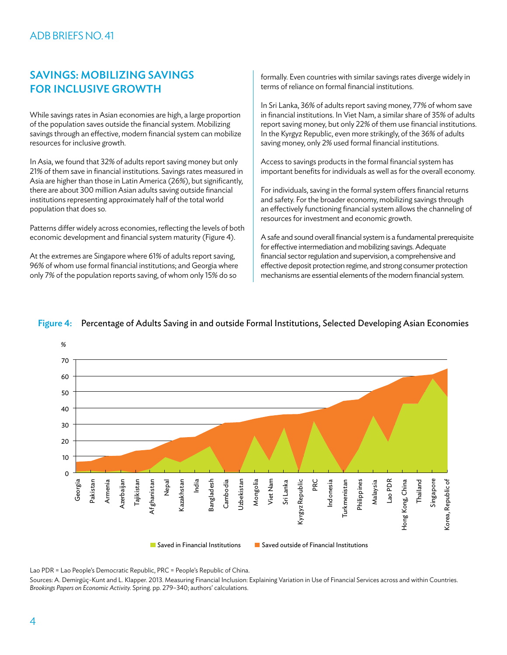#### Savings: Mobilizing Savings for Inclusive Growth

While savings rates in Asian economies are high, a large proportion of the population saves outside the financial system. Mobilizing savings through an effective, modern financial system can mobilize resources for inclusive growth.

In Asia, we found that 32% of adults report saving money but only 21% of them save in financial institutions. Savings rates measured in Asia are higher than those in Latin America (26%), but significantly, there are about 300 million Asian adults saving outside financial institutions representing approximately half of the total world population that does so.

Patterns differ widely across economies, reflecting the levels of both economic development and financial system maturity (Figure 4).

At the extremes are Singapore where 61% of adults report saving, 96% of whom use formal financial institutions; and Georgia where only 7% of the population reports saving, of whom only 15% do so

formally. Even countries with similar savings rates diverge widely in terms of reliance on formal financial institutions.

In Sri Lanka, 36% of adults report saving money, 77% of whom save in financial institutions. In Viet Nam, a similar share of 35% of adults report saving money, but only 22% of them use financial institutions. In the Kyrgyz Republic, even more strikingly, of the 36% of adults saving money, only 2% used formal financial institutions.

Access to savings products in the formal financial system has important benefits for individuals as well as for the overall economy.

For individuals, saving in the formal system offers financial returns and safety. For the broader economy, mobilizing savings through an effectively functioning financial system allows the channeling of resources for investment and economic growth.

A safe and sound overall financial system is a fundamental prerequisite for effective intermediation and mobilizing savings. Adequate financial sector regulation and supervision, a comprehensive and effective deposit protection regime, and strong consumer protection mechanisms are essential elements of the modern financial system.



#### Figure 4: Percentage of Adults Saving in and outside Formal Institutions, Selected Developing Asian Economies

Lao PDR = Lao People's Democratic Republic, PRC = People's Republic of China.

Sources: A. Demirgüç-Kunt and L. Klapper. 2013. Measuring Financial Inclusion: Explaining Variation in Use of Financial Services across and within Countries. *Brookings Papers on Economic Activity.* Spring. pp. 279–340; authors' calculations.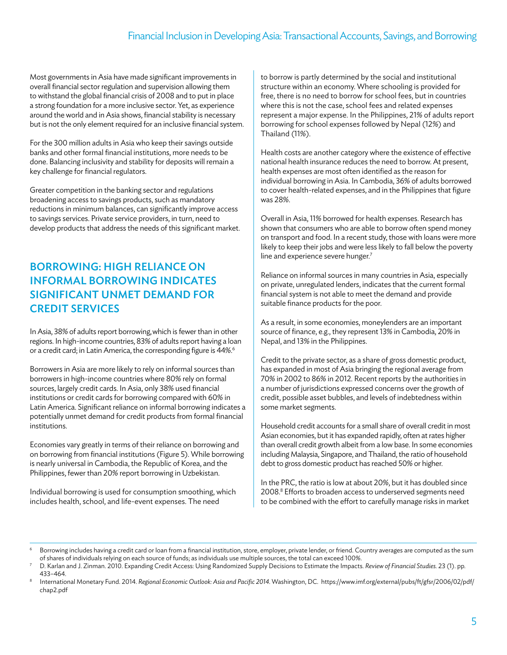Most governments in Asia have made significant improvements in overall financial sector regulation and supervision allowing them to withstand the global financial crisis of 2008 and to put in place a strong foundation for a more inclusive sector. Yet, as experience around the world and in Asia shows, financial stability is necessary but is not the only element required for an inclusive financial system.

For the 300 million adults in Asia who keep their savings outside banks and other formal financial institutions, more needs to be done. Balancing inclusivity and stability for deposits will remain a key challenge for financial regulators.

Greater competition in the banking sector and regulations broadening access to savings products, such as mandatory reductions in minimum balances, can significantly improve access to savings services. Private service providers, in turn, need to develop products that address the needs of this significant market.

### Borrowing: High Reliance on Informal Borrowing Indicates Significant Unmet Demand for **CREDIT SERVICES**

In Asia, 38% of adults report borrowing,which is fewer than in other regions. In high-income countries, 83% of adults report having a loan or a credit card; in Latin America, the corresponding figure is 44%.<sup>6</sup>

Borrowers in Asia are more likely to rely on informal sources than borrowers in high-income countries where 80% rely on formal sources, largely credit cards. In Asia, only 38% used financial institutions or credit cards for borrowing compared with 60% in Latin America. Significant reliance on informal borrowing indicates a potentially unmet demand for credit products from formal financial institutions.

Economies vary greatly in terms of their reliance on borrowing and on borrowing from financial institutions (Figure 5). While borrowing is nearly universal in Cambodia, the Republic of Korea, and the Philippines, fewer than 20% report borrowing in Uzbekistan.

Individual borrowing is used for consumption smoothing, which includes health, school, and life-event expenses. The need

to borrow is partly determined by the social and institutional structure within an economy. Where schooling is provided for free, there is no need to borrow for school fees, but in countries where this is not the case, school fees and related expenses represent a major expense. In the Philippines, 21% of adults report borrowing for school expenses followed by Nepal (12%) and Thailand (11%).

Health costs are another category where the existence of effective national health insurance reduces the need to borrow. At present, health expenses are most often identified as the reason for individual borrowing in Asia. In Cambodia, 36% of adults borrowed to cover health-related expenses, and in the Philippines that figure was 28%.

Overall in Asia, 11% borrowed for health expenses. Research has shown that consumers who are able to borrow often spend money on transport and food. In a recent study, those with loans were more likely to keep their jobs and were less likely to fall below the poverty line and experience severe hunger.<sup>7</sup>

Reliance on informal sources in many countries in Asia, especially on private, unregulated lenders, indicates that the current formal financial system is not able to meet the demand and provide suitable finance products for the poor.

As a result, in some economies, moneylenders are an important source of finance, e.g., they represent 13% in Cambodia, 20% in Nepal, and 13% in the Philippines.

Credit to the private sector, as a share of gross domestic product, has expanded in most of Asia bringing the regional average from 70% in 2002 to 86% in 2012. Recent reports by the authorities in a number of jurisdictions expressed concerns over the growth of credit, possible asset bubbles, and levels of indebtedness within some market segments.

Household credit accounts for a small share of overall credit in most Asian economies, but it has expanded rapidly, often at rates higher than overall credit growth albeit from a low base. In some economies including Malaysia, Singapore, and Thailand, the ratio of household debt to gross domestic product has reached 50% or higher.

In the PRC, the ratio is low at about 20%, but it has doubled since 2008.<sup>8</sup> Efforts to broaden access to underserved segments need to be combined with the effort to carefully manage risks in market

<sup>6</sup> Borrowing includes having a credit card or loan from a financial institution, store, employer, private lender, or friend. Country averages are computed as the sum of shares of individuals relying on each source of funds; as individuals use multiple sources, the total can exceed 100%.

<sup>7</sup> D. Karlan and J. Zinman. 2010. Expanding Credit Access: Using Randomized Supply Decisions to Estimate the Impacts. *Review of Financial Studies.* 23 (1). pp. 433–464.

<sup>8</sup> International Monetary Fund. 2014. *Regional Economic Outlook: Asia and Pacific 2014.* Washington, DC. https://www.imf.org/external/pubs/ft/gfsr/2006/02/pdf/ chap2.pdf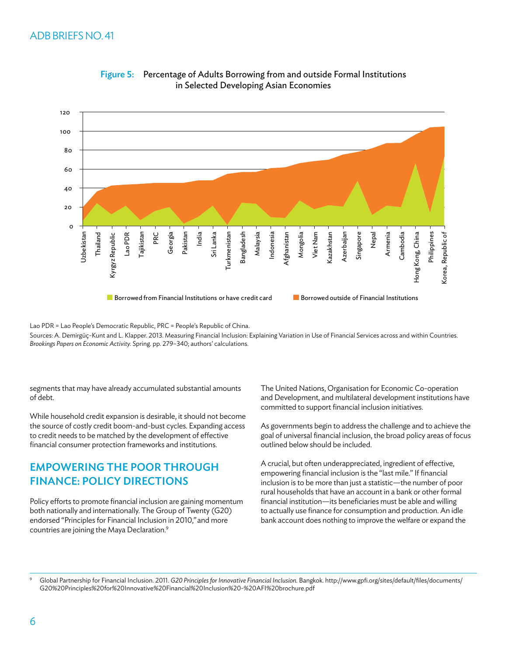

Figure 5: Percentage of Adults Borrowing from and outside Formal Institutions in Selected Developing Asian Economies

Lao PDR = Lao People's Democratic Republic, PRC = People's Republic of China.

Sources: A. Demirgüç-Kunt and L. Klapper. 2013. Measuring Financial Inclusion: Explaining Variation in Use of Financial Services across and within Countries. *Brookings Papers on Economic Activity.* Spring. pp. 279–340; authors' calculations.

segments that may have already accumulated substantial amounts of debt.

While household credit expansion is desirable, it should not become the source of costly credit boom-and-bust cycles. Expanding access to credit needs to be matched by the development of effective financial consumer protection frameworks and institutions.

#### Empowering the Poor through Finance: Policy Directions

Policy efforts to promote financial inclusion are gaining momentum both nationally and internationally. The Group of Twenty (G20) endorsed "Principles for Financial Inclusion in 2010,"and more countries are joining the Maya Declaration.9

The United Nations, Organisation for Economic Co-operation and Development, and multilateral development institutions have committed to support financial inclusion initiatives.

As governments begin to address the challenge and to achieve the goal of universal financial inclusion, the broad policy areas of focus outlined below should be included.

A crucial, but often underappreciated, ingredient of effective, empowering financial inclusion is the "last mile." If financial inclusion is to be more than just a statistic—the number of poor rural households that have an account in a bank or other formal financial institution—its beneficiaries must be able and willing to actually use finance for consumption and production. An idle bank account does nothing to improve the welfare or expand the

<sup>9</sup> Global Partnership for Financial Inclusion. 2011. *G20 Principles for Innovative Financial Inclusion.* Bangkok. http://www.gpfi.org/sites/default/files/documents/ G20%20Principles%20for%20Innovative%20Financial%20Inclusion%20-%20AFI%20brochure.pdf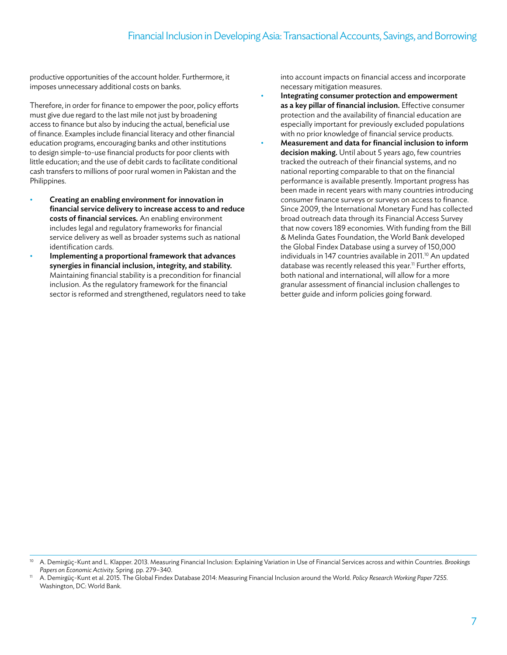productive opportunities of the account holder. Furthermore, it imposes unnecessary additional costs on banks.

Therefore, in order for finance to empower the poor, policy efforts must give due regard to the last mile not just by broadening access to finance but also by inducing the actual, beneficial use of finance. Examples include financial literacy and other financial education programs, encouraging banks and other institutions to design simple-to-use financial products for poor clients with little education; and the use of debit cards to facilitate conditional cash transfers to millions of poor rural women in Pakistan and the Philippines.

- Creating an enabling environment for innovation in financial service delivery to increase access to and reduce costs of financial services. An enabling environment includes legal and regulatory frameworks for financial service delivery as well as broader systems such as national identification cards.
- Implementing a proportional framework that advances synergies in financial inclusion, integrity, and stability. Maintaining financial stability is a precondition for financial inclusion. As the regulatory framework for the financial sector is reformed and strengthened, regulators need to take

into account impacts on financial access and incorporate necessary mitigation measures.

- Integrating consumer protection and empowerment as a key pillar of financial inclusion. Effective consumer protection and the availability of financial education are especially important for previously excluded populations with no prior knowledge of financial service products.
- Measurement and data for financial inclusion to inform decision making. Until about 5 years ago, few countries tracked the outreach of their financial systems, and no national reporting comparable to that on the financial performance is available presently. Important progress has been made in recent years with many countries introducing consumer finance surveys or surveys on access to finance. Since 2009, the International Monetary Fund has collected broad outreach data through its Financial Access Survey that now covers 189 economies. With funding from the Bill & Melinda Gates Foundation, the World Bank developed the Global Findex Database using a survey of 150,000 individuals in 147 countries available in 2011.<sup>10</sup> An updated database was recently released this year.<sup>11</sup> Further efforts, both national and international, will allow for a more granular assessment of financial inclusion challenges to better guide and inform policies going forward.

<sup>10</sup> A. Demirgüç-Kunt and L. Klapper. 2013. Measuring Financial Inclusion: Explaining Variation in Use of Financial Services across and within Countries. *Brookings Papers on Economic Activity.* Spring. pp. 279–340.

<sup>11</sup> A. Demirgüç-Kunt et al. 2015. The Global Findex Database 2014: Measuring Financial Inclusion around the World. *Policy Research Working Paper 7255.* Washington, DC: World Bank.